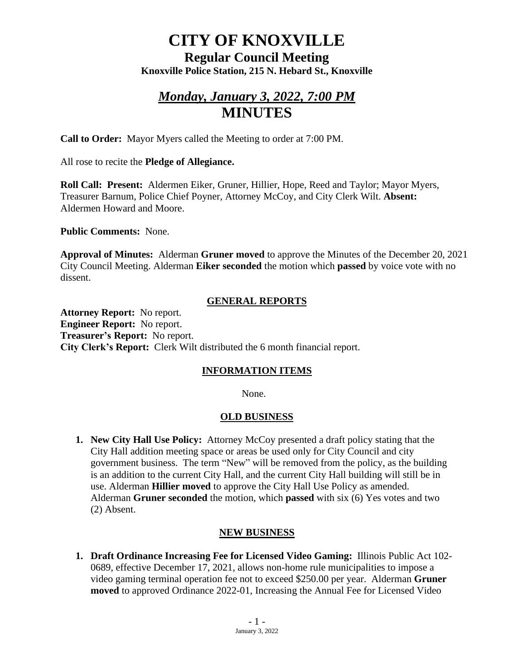# **CITY OF KNOXVILLE**

### **Regular Council Meeting Knoxville Police Station, 215 N. Hebard St., Knoxville**

# *Monday, January 3, 2022, 7:00 PM* **MINUTES**

**Call to Order:** Mayor Myers called the Meeting to order at 7:00 PM.

All rose to recite the **Pledge of Allegiance.**

**Roll Call: Present:** Aldermen Eiker, Gruner, Hillier, Hope, Reed and Taylor; Mayor Myers, Treasurer Barnum, Police Chief Poyner, Attorney McCoy, and City Clerk Wilt. **Absent:** Aldermen Howard and Moore.

**Public Comments:** None.

**Approval of Minutes:** Alderman **Gruner moved** to approve the Minutes of the December 20, 2021 City Council Meeting. Alderman **Eiker seconded** the motion which **passed** by voice vote with no dissent.

#### **GENERAL REPORTS**

**Attorney Report:** No report. **Engineer Report:** No report. **Treasurer's Report:** No report. **City Clerk's Report:** Clerk Wilt distributed the 6 month financial report.

#### **INFORMATION ITEMS**

None.

#### **OLD BUSINESS**

**1. New City Hall Use Policy:** Attorney McCoy presented a draft policy stating that the City Hall addition meeting space or areas be used only for City Council and city government business. The term "New" will be removed from the policy, as the building is an addition to the current City Hall, and the current City Hall building will still be in use. Alderman **Hillier moved** to approve the City Hall Use Policy as amended. Alderman **Gruner seconded** the motion, which **passed** with six (6) Yes votes and two (2) Absent.

### **NEW BUSINESS**

**1. Draft Ordinance Increasing Fee for Licensed Video Gaming:** Illinois Public Act 102- 0689, effective December 17, 2021, allows non-home rule municipalities to impose a video gaming terminal operation fee not to exceed \$250.00 per year. Alderman **Gruner moved** to approved Ordinance 2022-01, Increasing the Annual Fee for Licensed Video